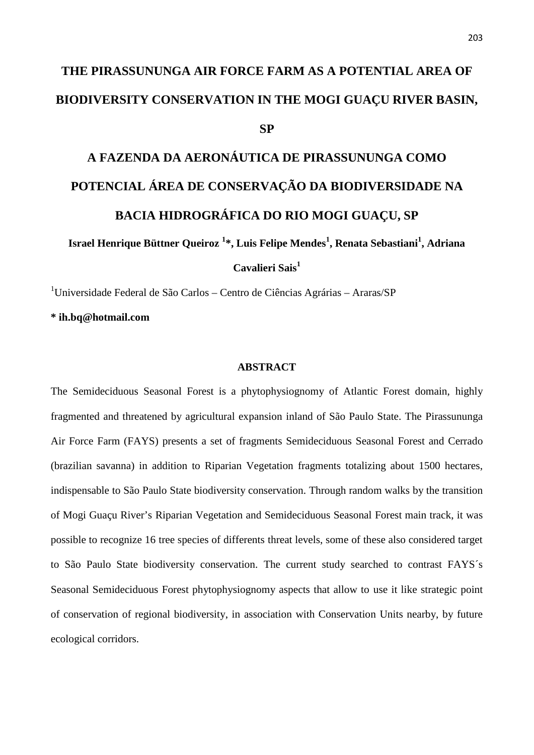# **THE PIRASSUNUNGA AIR FORCE FARM AS A POTENTIAL AREA OF BIODIVERSITY CONSERVATION IN THE MOGI GUAÇU RIVER BASIN, SP**

# **A FAZENDA DA AERONÁUTICA DE PIRASSUNUNGA COMO POTENCIAL ÁREA DE CONSERVAÇÃO DA BIODIVERSIDADE NA BACIA HIDROGRÁFICA DO RIO MOGI GUAÇU, SP**

**Israel Henrique Büttner Queiroz <sup>1</sup>\*, Luis Felipe Mendes<sup>1</sup> , Renata Sebastiani<sup>1</sup> , Adriana**

**Cavalieri Sais<sup>1</sup>**

<sup>1</sup>Universidade Federal de São Carlos – Centro de Ciências Agrárias – Araras/SP

**\* ih.bq@hotmail.com**

## **ABSTRACT**

The Semideciduous Seasonal Forest is a phytophysiognomy of Atlantic Forest domain, highly fragmented and threatened by agricultural expansion inland of São Paulo State. The Pirassununga Air Force Farm (FAYS) presents a set of fragments Semideciduous Seasonal Forest and Cerrado (brazilian savanna) in addition to Riparian Vegetation fragments totalizing about 1500 hectares, indispensable to São Paulo State biodiversity conservation. Through random walks by the transition of Mogi Guaçu River's Riparian Vegetation and Semideciduous Seasonal Forest main track, it was possible to recognize 16 tree species of differents threat levels, some of these also considered target to São Paulo State biodiversity conservation. The current study searched to contrast FAYS´s Seasonal Semideciduous Forest phytophysiognomy aspects that allow to use it like strategic point of conservation of regional biodiversity, in association with Conservation Units nearby, by future ecological corridors.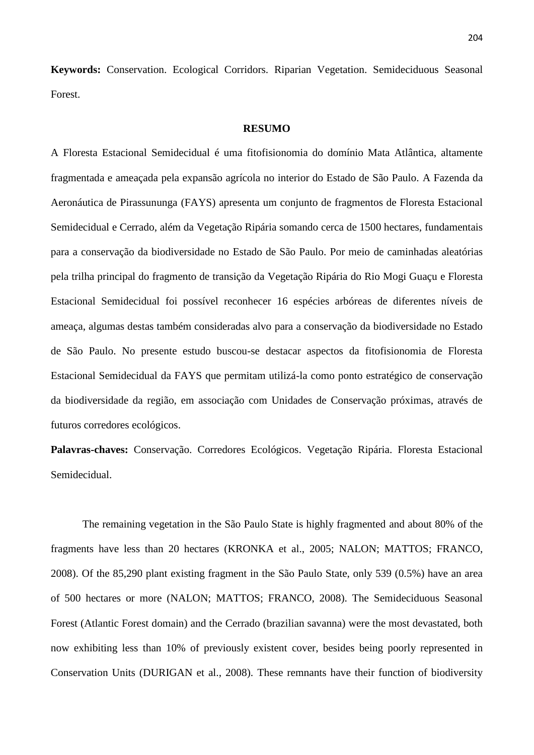**Keywords:** Conservation. Ecological Corridors. Riparian Vegetation. Semideciduous Seasonal Forest.

#### **RESUMO**

A Floresta Estacional Semidecidual é uma fitofisionomia do domínio Mata Atlântica, altamente fragmentada e ameaçada pela expansão agrícola no interior do Estado de São Paulo. A Fazenda da Aeronáutica de Pirassununga (FAYS) apresenta um conjunto de fragmentos de Floresta Estacional Semidecidual e Cerrado, além da Vegetação Ripária somando cerca de 1500 hectares, fundamentais para a conservação da biodiversidade no Estado de São Paulo. Por meio de caminhadas aleatórias pela trilha principal do fragmento de transição da Vegetação Ripária do Rio Mogi Guaçu e Floresta Estacional Semidecidual foi possível reconhecer 16 espécies arbóreas de diferentes níveis de ameaça, algumas destas também consideradas alvo para a conservação da biodiversidade no Estado de São Paulo. No presente estudo buscou-se destacar aspectos da fitofisionomia de Floresta Estacional Semidecidual da FAYS que permitam utilizá-la como ponto estratégico de conservação da biodiversidade da região, em associação com Unidades de Conservação próximas, através de futuros corredores ecológicos.

**Palavras-chaves:** Conservação. Corredores Ecológicos. Vegetação Ripária. Floresta Estacional Semidecidual.

The remaining vegetation in the São Paulo State is highly fragmented and about 80% of the fragments have less than 20 hectares (KRONKA et al., 2005; NALON; MATTOS; FRANCO, 2008). Of the 85,290 plant existing fragment in the São Paulo State, only 539 (0.5%) have an area of 500 hectares or more (NALON; MATTOS; FRANCO, 2008). The Semideciduous Seasonal Forest (Atlantic Forest domain) and the Cerrado (brazilian savanna) were the most devastated, both now exhibiting less than 10% of previously existent cover, besides being poorly represented in Conservation Units (DURIGAN et al., 2008). These remnants have their function of biodiversity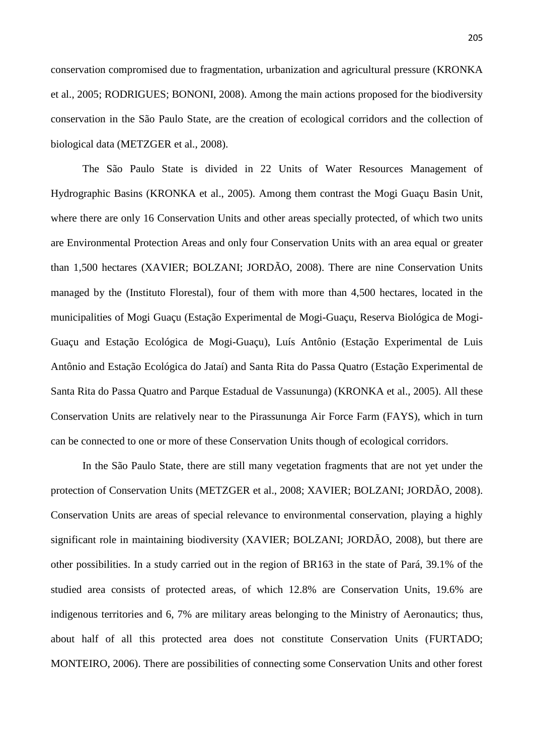205

conservation compromised due to fragmentation, urbanization and agricultural pressure (KRONKA et al., 2005; RODRIGUES; BONONI, 2008). Among the main actions proposed for the biodiversity conservation in the São Paulo State, are the creation of ecological corridors and the collection of biological data (METZGER et al., 2008).

The São Paulo State is divided in 22 Units of Water Resources Management of Hydrographic Basins (KRONKA et al., 2005). Among them contrast the Mogi Guaçu Basin Unit, where there are only 16 Conservation Units and other areas specially protected, of which two units are Environmental Protection Areas and only four Conservation Units with an area equal or greater than 1,500 hectares (XAVIER; BOLZANI; JORDÃO, 2008). There are nine Conservation Units managed by the (Instituto Florestal), four of them with more than 4,500 hectares, located in the municipalities of Mogi Guaçu (Estação Experimental de Mogi-Guaçu, Reserva Biológica de Mogi- Guaçu and Estação Ecológica de Mogi-Guaçu), Luís Antônio (Estação Experimental de Luis Antônio and Estação Ecológica do Jataí) and Santa Rita do Passa Quatro (Estação Experimental de Santa Rita do Passa Quatro and Parque Estadual de Vassununga) (KRONKA et al., 2005). All these Conservation Units are relatively near to the Pirassununga Air Force Farm (FAYS), which in turn can be connected to one or more of these Conservation Units though of ecological corridors.

In the São Paulo State, there are still many vegetation fragments that are not yet under the protection of Conservation Units (METZGER et al., 2008; XAVIER; BOLZANI; JORDÃO, 2008). Conservation Units are areas of special relevance to environmental conservation, playing a highly significant role in maintaining biodiversity (XAVIER; BOLZANI; JORDÃO, 2008), but there are other possibilities. In a study carried out in the region of BR163 in the state of Pará, 39.1% of the studied area consists of protected areas, of which 12.8% are Conservation Units, 19.6% are indigenous territories and 6, 7% are military areas belonging to the Ministry of Aeronautics; thus, about half of all this protected area does not constitute Conservation Units (FURTADO; MONTEIRO, 2006). There are possibilities of connecting some Conservation Units and other forest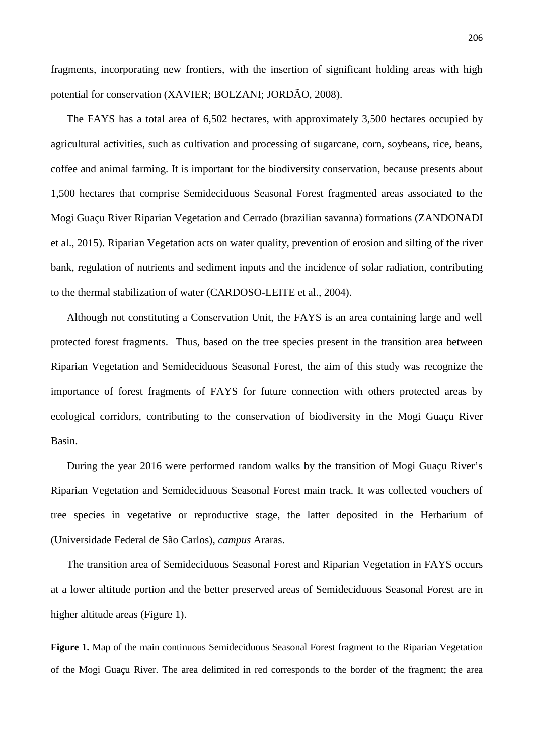fragments, incorporating new frontiers, with the insertion of significant holding areas with high potential for conservation (XAVIER; BOLZANI; JORDÃO, 2008).

The FAYS has a total area of 6,502 hectares, with approximately 3,500 hectares occupied by agricultural activities, such as cultivation and processing of sugarcane, corn, soybeans, rice, beans, coffee and animal farming. It is important for the biodiversity conservation, because presents about 1,500 hectares that comprise Semideciduous Seasonal Forest fragmented areas associated to the Mogi Guaçu River Riparian Vegetation and Cerrado (brazilian savanna) formations (ZANDONADI et al., 2015). Riparian Vegetation acts on water quality, prevention of erosion and silting of the river bank, regulation of nutrients and sediment inputs and the incidence of solar radiation, contributing to the thermal stabilization of water (CARDOSO-LEITE et al., 2004).

Although not constituting a Conservation Unit, the FAYS is an area containing large and well protected forest fragments. Thus, based on the tree species present in the transition area between Riparian Vegetation and Semideciduous Seasonal Forest, the aim of this study was recognize the importance of forest fragments of FAYS for future connection with others protected areas by ecological corridors, contributing to the conservation of biodiversity in the Mogi Guaçu River Basin.

During the year 2016 were performed random walks by the transition of Mogi Guaçu River's Riparian Vegetation and Semideciduous Seasonal Forest main track. It was collected vouchers of tree species in vegetative or reproductive stage, the latter deposited in the Herbarium of (Universidade Federal de São Carlos), *campus* Araras.

The transition area of Semideciduous Seasonal Forest and Riparian Vegetation in FAYS occurs at a lower altitude portion and the better preserved areas of Semideciduous Seasonal Forest are in higher altitude areas (Figure 1).

**Figure 1.** Map of the main continuous Semideciduous Seasonal Forest fragment to the Riparian Vegetation of the Mogi Guaçu River. The area delimited in red corresponds to the border of the fragment; the area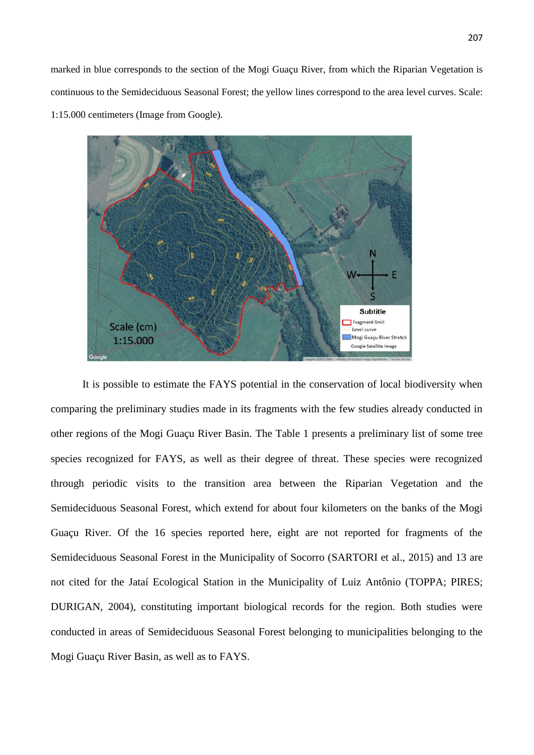marked in blue corresponds to the section of the Mogi Guaçu River, from which the Riparian Vegetation is continuous to the Semideciduous Seasonal Forest; the yellow lines correspond to the area level curves. Scale: 1:15.000 centimeters (Image from Google).



It is possible to estimate the FAYS potential in the conservation of local biodiversity when comparing the preliminary studies made in its fragments with the few studies already conducted in other regions of the Mogi Guaçu River Basin. The Table 1 presents a preliminary list of some tree species recognized for FAYS, as well as their degree of threat. These species were recognized through periodic visits to the transition area between the Riparian Vegetation and the Semideciduous Seasonal Forest, which extend for about four kilometers on the banks of the Mogi Guaçu River. Of the 16 species reported here, eight are not reported for fragments of the Semideciduous Seasonal Forest in the Municipality of Socorro (SARTORI et al., 2015) and 13 are not cited for the Jataí Ecological Station in the Municipality of Luiz Antônio (TOPPA; PIRES; DURIGAN, 2004), constituting important biological records for the region. Both studies were conducted in areas of Semideciduous Seasonal Forest belonging to municipalities belonging to the Mogi Guaçu River Basin, as well as to FAYS.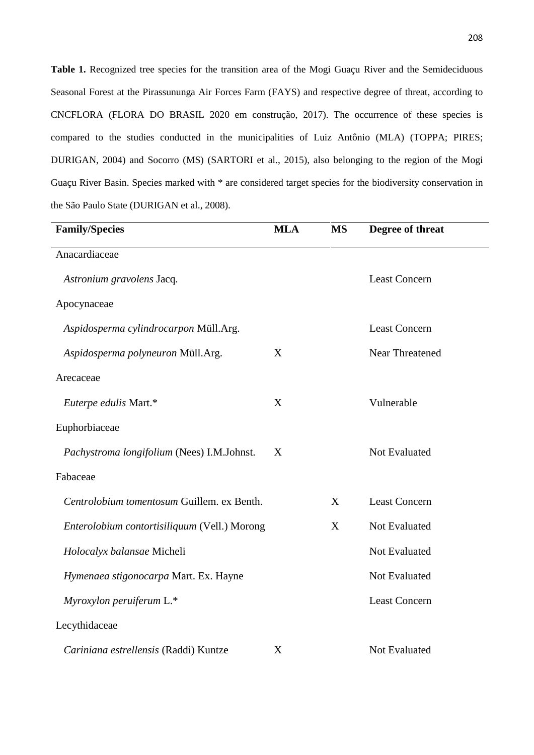Table 1. Recognized tree species for the transition area of the Mogi Guaçu River and the Semideciduous Seasonal Forest at the Pirassununga Air Forces Farm (FAYS) and respective degree of threat, according to CNCFLORA (FLORA DO BRASIL 2020 em construção, 2017). The occurrence of these species is compared to the studies conducted in the municipalities of Luiz Antônio (MLA) (TOPPA; PIRES; DURIGAN, 2004) and Socorro (MS) (SARTORI et al., 2015), also belonging to the region of the Mogi Guaçu River Basin. Species marked with \* are considered target species for the biodiversity conservation in the São Paulo State (DURIGAN et al., 2008).

| <b>Family/Species</b>                        | <b>MLA</b> | <b>MS</b> | Degree of threat       |
|----------------------------------------------|------------|-----------|------------------------|
| Anacardiaceae                                |            |           |                        |
| Astronium gravolens Jacq.                    |            |           | <b>Least Concern</b>   |
| Apocynaceae                                  |            |           |                        |
| Aspidosperma cylindrocarpon Müll.Arg.        |            |           | <b>Least Concern</b>   |
| Aspidosperma polyneuron Müll.Arg.            | X          |           | <b>Near Threatened</b> |
| Arecaceae                                    |            |           |                        |
| Euterpe edulis Mart.*                        | X          |           | Vulnerable             |
| Euphorbiaceae                                |            |           |                        |
| Pachystroma longifolium (Nees) I.M.Johnst.   | X          |           | Not Evaluated          |
| Fabaceae                                     |            |           |                        |
| Centrolobium tomentosum Guillem. ex Benth.   |            | X         | <b>Least Concern</b>   |
| Enterolobium contortisiliquum (Vell.) Morong |            | X         | Not Evaluated          |
| Holocalyx balansae Micheli                   |            |           | Not Evaluated          |
| Hymenaea stigonocarpa Mart. Ex. Hayne        |            |           | Not Evaluated          |
| Myroxylon peruiferum L.*                     |            |           | <b>Least Concern</b>   |
| Lecythidaceae                                |            |           |                        |
| Cariniana estrellensis (Raddi) Kuntze        | X          |           | Not Evaluated          |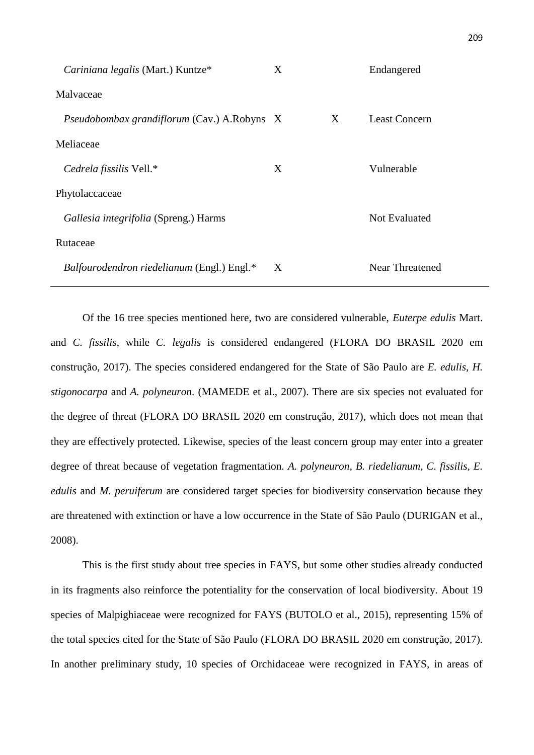| Cariniana legalis (Mart.) Kuntze*                  | X |   | Endangered           |
|----------------------------------------------------|---|---|----------------------|
| Malvaceae                                          |   |   |                      |
| <i>Pseudobombax grandiflorum (Cav.) A.Robyns X</i> |   | X | <b>Least Concern</b> |
| Meliaceae                                          |   |   |                      |
| Cedrela fissilis Vell.*                            | X |   | Vulnerable           |
| Phytolaccaceae                                     |   |   |                      |
| Gallesia integrifolia (Spreng.) Harms              |   |   | <b>Not Evaluated</b> |
| Rutaceae                                           |   |   |                      |
| <i>Balfourodendron riedelianum</i> (Engl.) Engl.*  | X |   | Near Threatened      |

Of the 16 tree species mentioned here, two are considered vulnerable, *Euterpe edulis* Mart. and *C. fissilis*, while *C. legalis* is considered endangered (FLORA DO BRASIL 2020 em construção, 2017). The species considered endangered for the State of São Paulo are *E. edulis*, *H. stigonocarpa* and *A. polyneuron*. (MAMEDE et al., 2007). There are six species not evaluated for the degree of threat (FLORA DO BRASIL 2020 em construção, 2017), which does not mean that they are effectively protected. Likewise, species of the least concern group may enter into a greater degree of threat because of vegetation fragmentation. *A. polyneuron, B. riedelianum*, *C. fissilis, E. edulis* and *M. peruiferum* are considered target species for biodiversity conservation because they are threatened with extinction or have a low occurrence in the State of São Paulo (DURIGAN et al., 2008).

This is the first study about tree species in FAYS, but some other studies already conducted in its fragments also reinforce the potentiality for the conservation of local biodiversity. About 19 species of Malpighiaceae were recognized for FAYS (BUTOLO et al., 2015), representing 15% of the total species cited for the State of São Paulo (FLORA DO BRASIL 2020 em construção, 2017). In another preliminary study, 10 species of Orchidaceae were recognized in FAYS, in areas of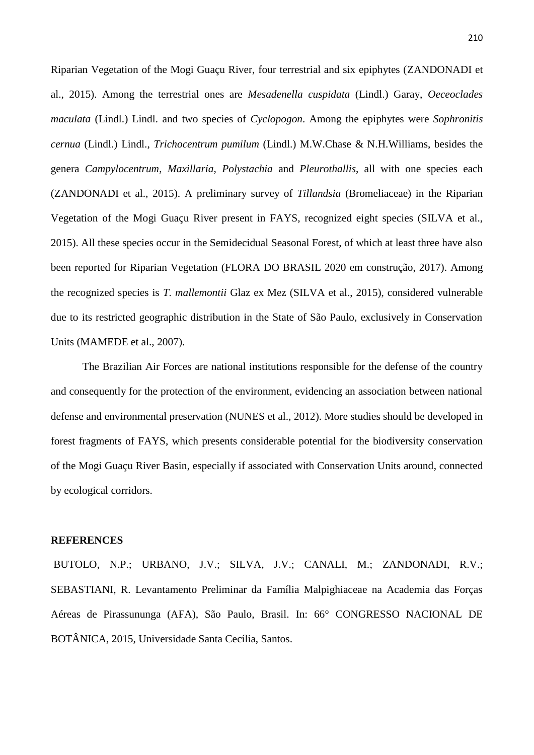Riparian Vegetation of the Mogi Guaçu River, four terrestrial and six epiphytes (ZANDONADI et al., 2015). Among the terrestrial ones are *Mesadenella cuspidata* (Lindl.) Garay, *Oeceoclades maculata* (Lindl.) Lindl. and two species of *Cyclopogon*. Among the epiphytes were *Sophronitis cernua* (Lindl.) Lindl., *Trichocentrum pumilum* (Lindl.) M.W.Chase & N.H.Williams, besides the genera *Campylocentrum*, *Maxillaria*, *Polystachia* and *Pleurothallis*, all with one species each (ZANDONADI et al., 2015). A preliminary survey of *Tillandsia* (Bromeliaceae) in the Riparian Vegetation of the Mogi Guaçu River present in FAYS, recognized eight species (SILVA et al., 2015). All these species occur in the Semidecidual Seasonal Forest, of which at least three have also been reported for Riparian Vegetation (FLORA DO BRASIL 2020 em construção, 2017). Among the recognized species is *T. mallemontii* Glaz ex Mez (SILVA et al., 2015), considered vulnerable due to its restricted geographic distribution in the State of São Paulo, exclusively in Conservation Units (MAMEDE et al., 2007).

The Brazilian Air Forces are national institutions responsible for the defense of the country and consequently for the protection of the environment, evidencing an association between national defense and environmental preservation (NUNES et al., 2012). More studies should be developed in forest fragments of FAYS, which presents considerable potential for the biodiversity conservation of the Mogi Guaçu River Basin, especially if associated with Conservation Units around, connected by ecological corridors.

### **REFERENCES**

BUTOLO, N.P.; URBANO, J.V.; SILVA, J.V.; CANALI, M.; ZANDONADI, R.V.; SEBASTIANI, R. Levantamento Preliminar da Família Malpighiaceae na Academia das Forças Aéreas de Pirassununga (AFA), São Paulo, Brasil. In: 66° CONGRESSO NACIONAL DE BOTÂNICA, 2015, Universidade Santa Cecília, Santos.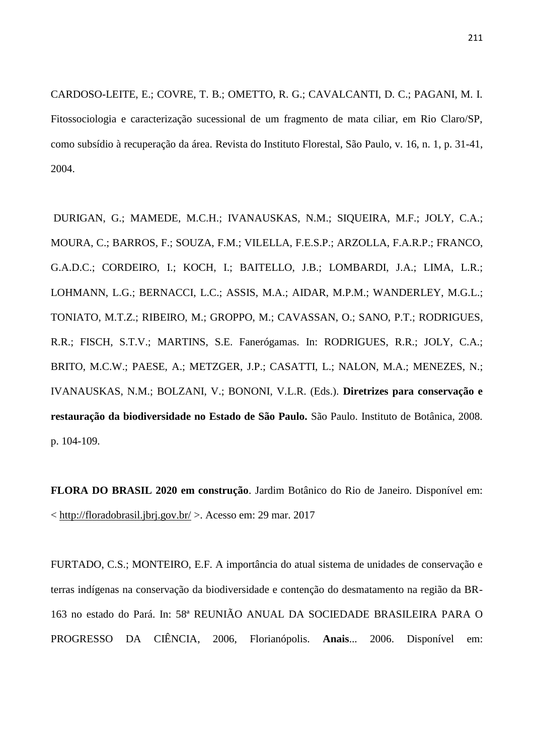CARDOSO-LEITE, E.; COVRE, T. B.; OMETTO, R. G.; CAVALCANTI, D. C.; PAGANI, M. I. Fitossociologia e caracterização sucessional de um fragmento de mata ciliar, em Rio Claro/SP, como subsídio à recuperação da área. Revista do Instituto Florestal, São Paulo, v. 16, n. 1, p. 31-41, 2004.

DURIGAN, G.; MAMEDE, M.C.H.; IVANAUSKAS, N.M.; SIQUEIRA, M.F.; JOLY, C.A.; MOURA, C.; BARROS, F.; SOUZA, F.M.; VILELLA, F.E.S.P.; ARZOLLA, F.A.R.P.; FRANCO, G.A.D.C.; CORDEIRO, I.; KOCH, I.; BAITELLO, J.B.; LOMBARDI, J.A.; LIMA, L.R.; LOHMANN, L.G.; BERNACCI, L.C.; ASSIS, M.A.; AIDAR, M.P.M.; WANDERLEY, M.G.L.; TONIATO, M.T.Z.; RIBEIRO, M.; GROPPO, M.; CAVASSAN, O.; SANO, P.T.; RODRIGUES, R.R.; FISCH, S.T.V.; MARTINS, S.E. Fanerógamas. In: RODRIGUES, R.R.; JOLY, C.A.; BRITO, M.C.W.; PAESE, A.; METZGER, J.P.; CASATTI, L.; NALON, M.A.; MENEZES, N.; IVANAUSKAS, N.M.; BOLZANI, V.; BONONI, V.L.R. (Eds.). **Diretrizes para conservação e restauração da biodiversidade no Estado de São Paulo.** São Paulo. Instituto de Botânica, 2008. p. 104-109.

**FLORA DO BRASIL 2020 em construção**. Jardim Botânico do Rio de Janeiro. Disponível em:  $\langle$  http://floradobrasil.jbrj.gov.br/ > Acesso em: 29 mar. 2017

FURTADO, C.S.; MONTEIRO, E.F. A importância do atual sistema de unidades de conservação e terras indígenas na conservação da biodiversidade e contenção do desmatamento na região da BR- 163 no estado do Pará. In: 58ª REUNIÃO ANUAL DA SOCIEDADE BRASILEIRA PARA O PROGRESSO DA CIÊNCIA, 2006, Florianópolis. **Anais**... 2006. Disponível em: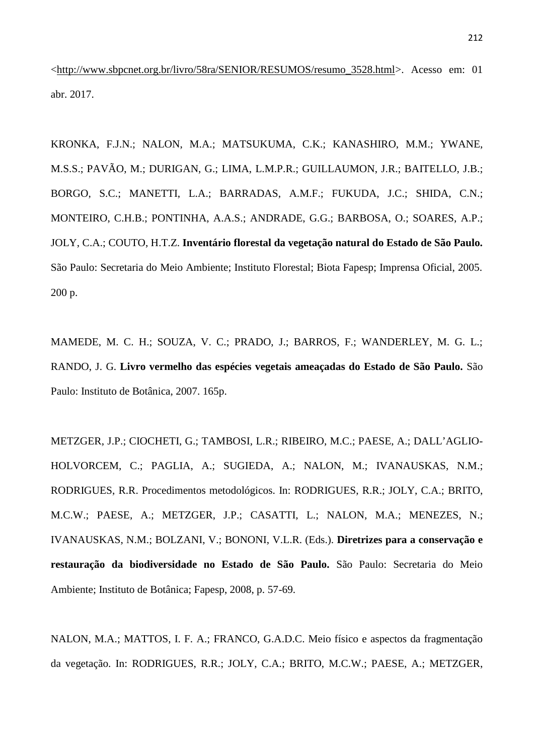<http://www.sbpcnet.org.br/livro/58ra/SENIOR/RESUMOS/resumo\_3528.html>. Acesso em: 01 abr. 2017.

KRONKA, F.J.N.; NALON, M.A.; MATSUKUMA, C.K.; KANASHIRO, M.M.; YWANE, M.S.S.; PAVÃO, M.; DURIGAN, G.; LIMA, L.M.P.R.; GUILLAUMON, J.R.; BAITELLO, J.B.; BORGO, S.C.; MANETTI, L.A.; BARRADAS, A.M.F.; FUKUDA, J.C.; SHIDA, C.N.; MONTEIRO, C.H.B.; PONTINHA, A.A.S.; ANDRADE, G.G.; BARBOSA, O.; SOARES, A.P.; JOLY, C.A.; COUTO, H.T.Z. **Inventário florestal da vegetação natural do Estado de São Paulo.** São Paulo: Secretaria do Meio Ambiente; Instituto Florestal; Biota Fapesp; Imprensa Oficial, 2005. 200 p.

MAMEDE, M. C. H.; SOUZA, V. C.; PRADO, J.; BARROS, F.; WANDERLEY, M. G. L.; RANDO, J. G. **Livro vermelho das espécies vegetais ameaçadas do Estado de São Paulo.** São Paulo: Instituto de Botânica, 2007. 165p.

METZGER, J.P.; CIOCHETI, G.; TAMBOSI, L.R.; RIBEIRO, M.C.; PAESE, A.; DALL'AGLIO- HOLVORCEM, C.; PAGLIA, A.; SUGIEDA, A.; NALON, M.; IVANAUSKAS, N.M.; RODRIGUES, R.R. Procedimentos metodológicos. In: RODRIGUES, R.R.; JOLY, C.A.; BRITO, M.C.W.; PAESE, A.; METZGER, J.P.; CASATTI, L.; NALON, M.A.; MENEZES, N.; IVANAUSKAS, N.M.; BOLZANI, V.; BONONI, V.L.R. (Eds.). **Diretrizes para a conservação e restauração da biodiversidade no Estado de São Paulo.** São Paulo: Secretaria do Meio Ambiente; Instituto de Botânica; Fapesp, 2008, p. 57-69.

NALON, M.A.; MATTOS, I. F. A.; FRANCO, G.A.D.C. Meio físico e aspectos da fragmentação da vegetação. In: RODRIGUES, R.R.; JOLY, C.A.; BRITO, M.C.W.; PAESE, A.; METZGER,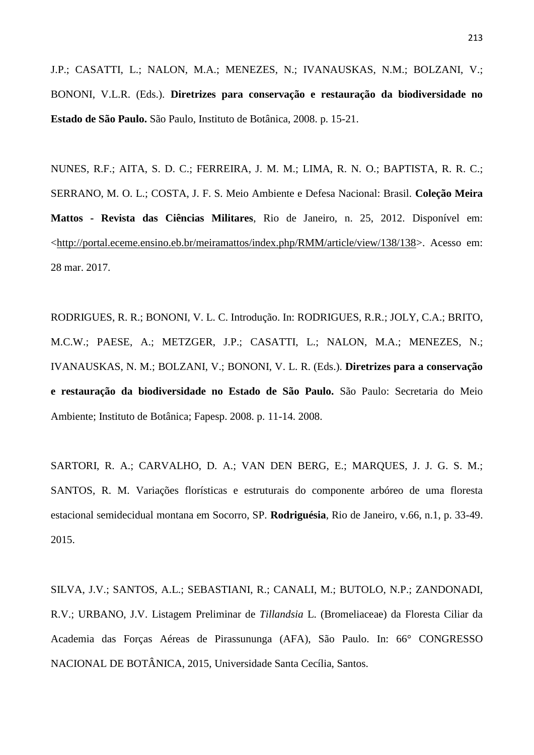J.P.; CASATTI, L.; NALON, M.A.; MENEZES, N.; IVANAUSKAS, N.M.; BOLZANI, V.; BONONI, V.L.R. (Eds.). **Diretrizes para conservação e restauração da biodiversidade no Estado de São Paulo.** São Paulo, Instituto de Botânica, 2008. p. 15-21.

NUNES, R.F.; AITA, S. D. C.; FERREIRA, J. M. M.; LIMA, R. N. O.; BAPTISTA, R. R. C.; SERRANO, M. O. L.; COSTA, J. F. S. Meio Ambiente e Defesa Nacional: Brasil. **Coleção Meira Mattos - Revista das Ciências Militares**, Rio de Janeiro, n. 25, 2012. Disponível em: <http://portal.eceme.ensino.eb.br/meiramattos/index.php/RMM/article/view/138/138>. Acesso em: 28 mar. 2017.

RODRIGUES, R. R.; BONONI, V. L. C. Introdução. In: RODRIGUES, R.R.; JOLY, C.A.; BRITO, M.C.W.; PAESE, A.; METZGER, J.P.; CASATTI, L.; NALON, M.A.; MENEZES, N.; IVANAUSKAS, N. M.; BOLZANI, V.; BONONI, V. L. R. (Eds.). **Diretrizes para a conservação e restauração da biodiversidade no Estado de São Paulo.** São Paulo: Secretaria do Meio Ambiente; Instituto de Botânica; Fapesp. 2008. p. 11-14. 2008.

SARTORI, R. A.; CARVALHO, D. A.; VAN DEN BERG, E.; MARQUES, J. J. G. S. M.; SANTOS, R. M. Variações florísticas e estruturais do componente arbóreo de uma floresta estacional semidecidual montana em Socorro, SP. **Rodriguésia**, Rio de Janeiro, v.66, n.1, p. 33-49. 2015.

SILVA, J.V.; SANTOS, A.L.; SEBASTIANI, R.; CANALI, M.; BUTOLO, N.P.; ZANDONADI, R.V.; URBANO, J.V. Listagem Preliminar de *Tillandsia* L. (Bromeliaceae) da Floresta Ciliar da Academia das Forças Aéreas de Pirassununga (AFA), São Paulo. In: 66° CONGRESSO NACIONAL DE BOTÂNICA, 2015, Universidade Santa Cecília, Santos.